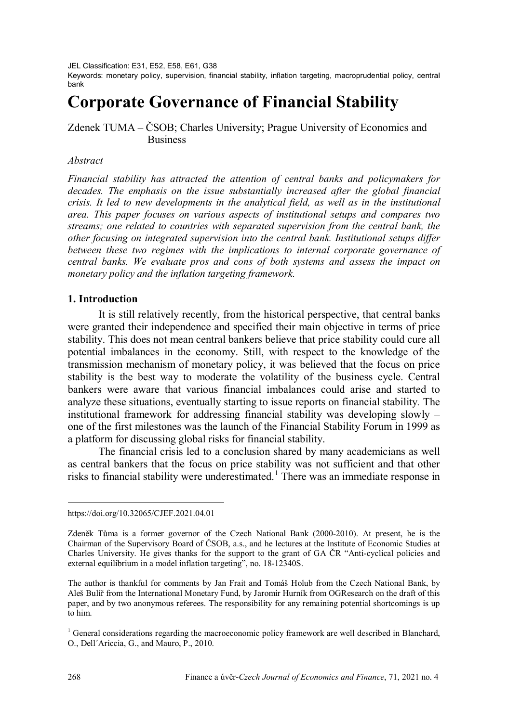JEL Classification: E31, E52, E58, E61, G38

Keywords: monetary policy, supervision, financial stability, inflation targeting, macroprudential policy, central bank

# **Corporate Governance of Financial Stability**

## Zdenek TUMA – ČSOB; Charles University; Prague University of Economics and Business

### *Abstract*

*Financial stability has attracted the attention of central banks and policymakers for*  decades. The emphasis on the issue substantially increased after the global financial *crisis. It led to new developments in the analytical field, as well as in the institutional area. This paper focuses on various aspects of institutional setups and compares two streams; one related to countries with separated supervision from the central bank, the other focusing on integrated supervision into the central bank. Institutional setups differ between these two regimes with the implications to internal corporate governance of central banks. We evaluate pros and cons of both systems and assess the impact on monetary policy and the inflation targeting framework.*

### **1. Introduction**

It is still relatively recently, from the historical perspective, that central banks were granted their independence and specified their main objective in terms of price stability. This does not mean central bankers believe that price stability could cure all potential imbalances in the economy. Still, with respect to the knowledge of the transmission mechanism of monetary policy, it was believed that the focus on price stability is the best way to moderate the volatility of the business cycle. Central bankers were aware that various financial imbalances could arise and started to analyze these situations, eventually starting to issue reports on financial stability*.* The institutional framework for addressing financial stability was developing slowly – one of the first milestones was the launch of the Financial Stability Forum in 1999 as a platform for discussing global risks for financial stability.

The financial crisis led to a conclusion shared by many academicians as well as central bankers that the focus on price stability was not sufficient and that other risks to financial stability were underestimated.<sup>[1](#page-0-0)</sup> There was an immediate response in

<span id="page-0-0"></span>https://doi.org/10.32065/CJEF.2021.04.01

Zdeněk Tůma is a former governor of the Czech National Bank (2000-2010). At present, he is the Chairman of the Supervisory Board of ČSOB, a.s., and he lectures at the Institute of Economic Studies at Charles University. He gives thanks for the support to the grant of GA ČR "Anti-cyclical policies and external equilibrium in a model inflation targeting", no. 18-12340S.

The author is thankful for comments by Jan Frait and Tomáš Holub from the Czech National Bank, by Aleš Bulíř from the International Monetary Fund, by Jaromír Hurník from OGResearch on the draft of this paper, and by two anonymous referees. The responsibility for any remaining potential shortcomings is up to him.

<sup>&</sup>lt;sup>1</sup> General considerations regarding the macroeconomic policy framework are well described in Blanchard, O., Dell´Ariccia, G., and Mauro, P., 2010.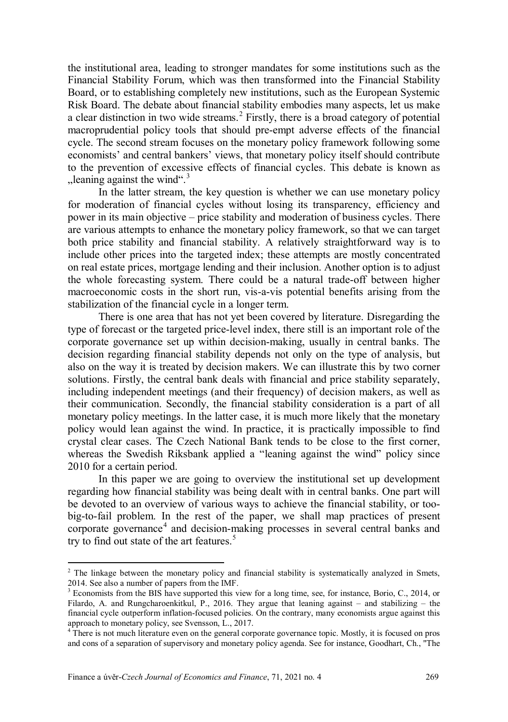the institutional area, leading to stronger mandates for some institutions such as the Financial Stability Forum, which was then transformed into the Financial Stability Board, or to establishing completely new institutions, such as the European Systemic Risk Board. The debate about financial stability embodies many aspects, let us make a clear distinction in two wide streams.<sup>[2](#page-1-0)</sup> Firstly, there is a broad category of potential macroprudential policy tools that should pre-empt adverse effects of the financial cycle. The second stream focuses on the monetary policy framework following some economists' and central bankers' views, that monetary policy itself should contribute to the prevention of excessive effects of financial cycles. This debate is known as  $n$ leaning against the wind".<sup>[3](#page-1-1)</sup>

In the latter stream, the key question is whether we can use monetary policy for moderation of financial cycles without losing its transparency, efficiency and power in its main objective – price stability and moderation of business cycles. There are various attempts to enhance the monetary policy framework, so that we can target both price stability and financial stability. A relatively straightforward way is to include other prices into the targeted index; these attempts are mostly concentrated on real estate prices, mortgage lending and their inclusion. Another option is to adjust the whole forecasting system. There could be a natural trade-off between higher macroeconomic costs in the short run, vis-a-vis potential benefits arising from the stabilization of the financial cycle in a longer term.

There is one area that has not yet been covered by literature. Disregarding the type of forecast or the targeted price-level index, there still is an important role of the corporate governance set up within decision-making, usually in central banks. The decision regarding financial stability depends not only on the type of analysis, but also on the way it is treated by decision makers. We can illustrate this by two corner solutions. Firstly, the central bank deals with financial and price stability separately, including independent meetings (and their frequency) of decision makers, as well as their communication. Secondly, the financial stability consideration is a part of all monetary policy meetings. In the latter case, it is much more likely that the monetary policy would lean against the wind. In practice, it is practically impossible to find crystal clear cases. The Czech National Bank tends to be close to the first corner, whereas the Swedish Riksbank applied a "leaning against the wind" policy since 2010 for a certain period.

In this paper we are going to overview the institutional set up development regarding how financial stability was being dealt with in central banks. One part will be devoted to an overview of various ways to achieve the financial stability, or toobig-to-fail problem. In the rest of the paper, we shall map practices of present corporate governance<sup>[4](#page-1-2)</sup> and decision-making processes in several central banks and try to find out state of the art features. $5$ 

<span id="page-1-3"></span><span id="page-1-0"></span> $2$  The linkage between the monetary policy and financial stability is systematically analyzed in Smets, 2014. See also a number of papers from the IMF.

<span id="page-1-1"></span><sup>&</sup>lt;sup>3</sup> Economists from the BIS have supported this view for a long time, see, for instance, Borio, C., 2014, or Filardo, A. and Rungcharoenkitkul, P., 2016. They argue that leaning against – and stabilizing – the financial cycle outperform inflation-focused policies. On the contrary, many economists argue against this approach to monetary policy, see Svensson, L., 2017.

<span id="page-1-2"></span><sup>&</sup>lt;sup>4</sup> There is not much literature even on the general corporate governance topic. Mostly, it is focused on pros and cons of a separation of supervisory and monetary policy agenda. See for instance, Goodhart, Ch., "The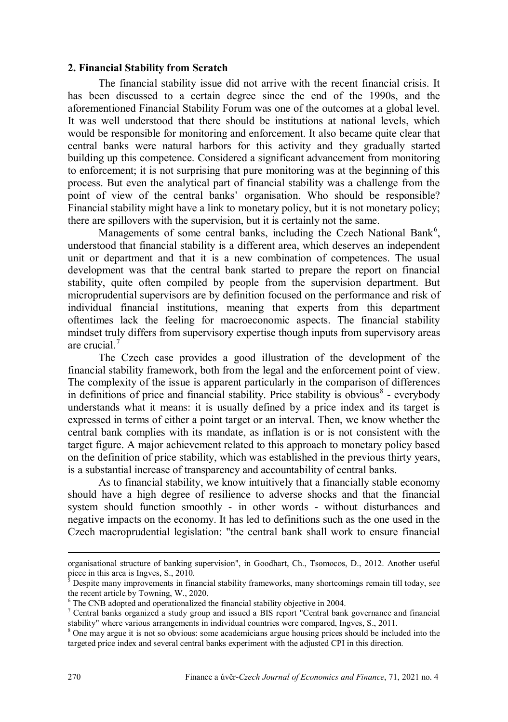### **2. Financial Stability from Scratch**

The financial stability issue did not arrive with the recent financial crisis. It has been discussed to a certain degree since the end of the 1990s, and the aforementioned Financial Stability Forum was one of the outcomes at a global level. It was well understood that there should be institutions at national levels, which would be responsible for monitoring and enforcement. It also became quite clear that central banks were natural harbors for this activity and they gradually started building up this competence. Considered a significant advancement from monitoring to enforcement; it is not surprising that pure monitoring was at the beginning of this process. But even the analytical part of financial stability was a challenge from the point of view of the central banks' organisation. Who should be responsible? Financial stability might have a link to monetary policy, but it is not monetary policy; there are spillovers with the supervision, but it is certainly not the same.

Managements of some central banks, including the Czech National Bank<sup>[6](#page-2-0)</sup>, understood that financial stability is a different area, which deserves an independent unit or department and that it is a new combination of competences. The usual development was that the central bank started to prepare the report on financial stability, quite often compiled by people from the supervision department. But microprudential supervisors are by definition focused on the performance and risk of individual financial institutions, meaning that experts from this department oftentimes lack the feeling for macroeconomic aspects. The financial stability mindset truly differs from supervisory expertise though inputs from supervisory areas are crucial.<sup>[7](#page-2-1)</sup>

The Czech case provides a good illustration of the development of the financial stability framework, both from the legal and the enforcement point of view. The complexity of the issue is apparent particularly in the comparison of differences in definitions of price and financial stability. Price stability is obvious<sup>[8](#page-2-2)</sup> - everybody understands what it means: it is usually defined by a price index and its target is expressed in terms of either a point target or an interval. Then, we know whether the central bank complies with its mandate, as inflation is or is not consistent with the target figure. A major achievement related to this approach to monetary policy based on the definition of price stability, which was established in the previous thirty years, is a substantial increase of transparency and accountability of central banks.

As to financial stability, we know intuitively that a financially stable economy should have a high degree of resilience to adverse shocks and that the financial system should function smoothly - in other words - without disturbances and negative impacts on the economy. It has led to definitions such as the one used in the Czech macroprudential legislation: "the central bank shall work to ensure financial

organisational structure of banking supervision", in Goodhart, Ch., Tsomocos, D., 2012. Another useful piece in this area is Ingves, S., 2010.

<sup>5</sup> Despite many improvements in financial stability frameworks, many shortcomings remain till today, see the recent article by Towning, W., 2020.

<span id="page-2-0"></span><sup>&</sup>lt;sup>6</sup> The CNB adopted and operationalized the financial stability objective in 2004.

<span id="page-2-1"></span><sup>7</sup> Central banks organized a study group and issued a BIS report "Central bank governance and financial stability" where various arrangements in individual countries were compared, Ingves, S., 2011.

<span id="page-2-2"></span><sup>8</sup> One may argue it is not so obvious: some academicians argue housing prices should be included into the targeted price index and several central banks experiment with the adjusted CPI in this direction.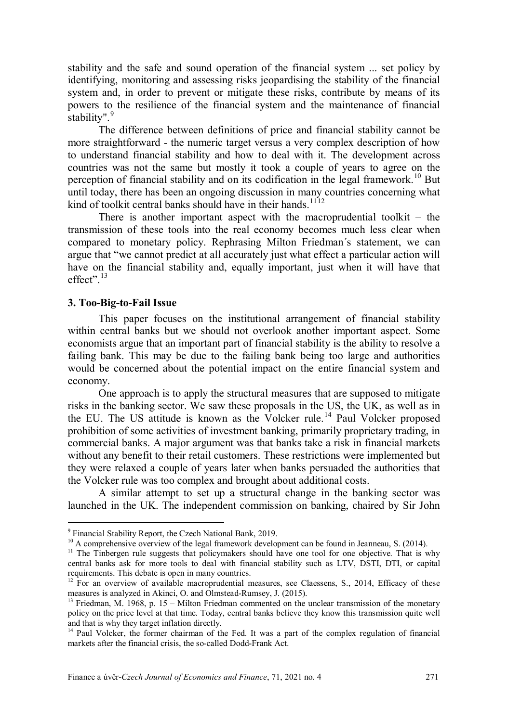stability and the safe and sound operation of the financial system ... set policy by identifying, monitoring and assessing risks jeopardising the stability of the financial system and, in order to prevent or mitigate these risks, contribute by means of its powers to the resilience of the financial system and the maintenance of financial stability".<sup>[9](#page-3-0)</sup>

The difference between definitions of price and financial stability cannot be more straightforward - the numeric target versus a very complex description of how to understand financial stability and how to deal with it. The development across countries was not the same but mostly it took a couple of years to agree on the perception of financial stability and on its codification in the legal framework.<sup>[10](#page-3-1)</sup> But until today, there has been an ongoing discussion in many countries concerning what kind of toolkit central banks should have in their hands.<sup>[11](#page-3-2)[12](#page-3-3)</sup>

There is another important aspect with the macroprudential toolkit  $-$  the transmission of these tools into the real economy becomes much less clear when compared to monetary policy. Rephrasing Milton Friedman´s statement, we can argue that "we cannot predict at all accurately just what effect a particular action will have on the financial stability and, equally important, just when it will have that effect". $13$ 

#### **3. Too-Big-to-Fail Issue**

 $\overline{a}$ 

This paper focuses on the institutional arrangement of financial stability within central banks but we should not overlook another important aspect. Some economists argue that an important part of financial stability is the ability to resolve a failing bank. This may be due to the failing bank being too large and authorities would be concerned about the potential impact on the entire financial system and economy.

One approach is to apply the structural measures that are supposed to mitigate risks in the banking sector. We saw these proposals in the US, the UK, as well as in the EU. The US attitude is known as the Volcker rule.<sup>[14](#page-3-5)</sup> Paul Volcker proposed prohibition of some activities of investment banking, primarily proprietary trading, in commercial banks. A major argument was that banks take a risk in financial markets without any benefit to their retail customers. These restrictions were implemented but they were relaxed a couple of years later when banks persuaded the authorities that the Volcker rule was too complex and brought about additional costs.

A similar attempt to set up a structural change in the banking sector was launched in the UK. The independent commission on banking, chaired by Sir John

<sup>&</sup>lt;sup>9</sup> Financial Stability Report, the Czech National Bank, 2019.

<span id="page-3-1"></span><span id="page-3-0"></span><sup>&</sup>lt;sup>10</sup> A comprehensive overview of the legal framework development can be found in Jeanneau, S. (2014).

<span id="page-3-2"></span><sup>&</sup>lt;sup>11</sup> The Tinbergen rule suggests that policymakers should have one tool for one objective. That is why central banks ask for more tools to deal with financial stability such as LTV, DSTI, DTI, or capital requirements. This debate is open in many countries.

<span id="page-3-3"></span><sup>&</sup>lt;sup>12</sup> For an overview of available macroprudential measures, see Claessens, S., 2014, Efficacy of these measures is analyzed in Akinci, O. and Olmstead-Rumsey, J. (2015).

<span id="page-3-4"></span><sup>&</sup>lt;sup>13</sup> Friedman, M. 1968, p. 15 – Milton Friedman commented on the unclear transmission of the monetary policy on the price level at that time. Today, central banks believe they know this transmission quite well and that is why they target inflation directly.

<span id="page-3-5"></span><sup>&</sup>lt;sup>14</sup> Paul Volcker, the former chairman of the Fed. It was a part of the complex regulation of financial markets after the financial crisis, the so-called Dodd-Frank Act.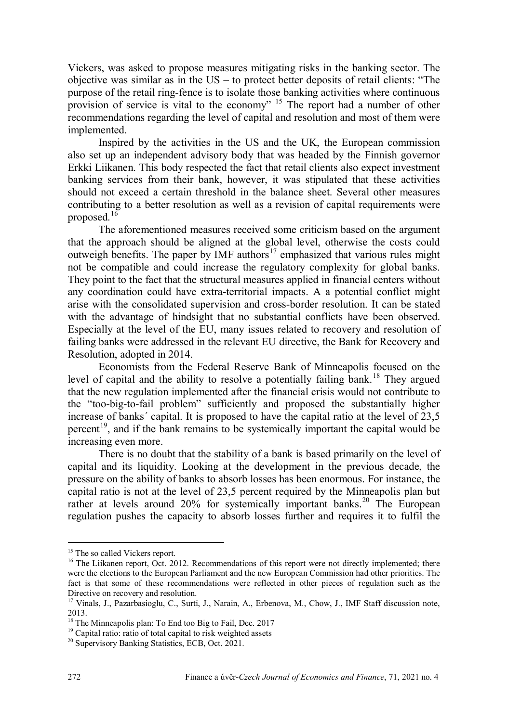Vickers, was asked to propose measures mitigating risks in the banking sector. The objective was similar as in the US – to protect better deposits of retail clients: "The purpose of the retail ring-fence is to isolate those banking activities where continuous purpose of the retail ring reflect to the economy" <sup>[15](#page-4-0)</sup> The report had a number of other recommendations regarding the level of capital and resolution and most of them were implemented.

Inspired by the activities in the US and the UK, the European commission also set up an independent advisory body that was headed by the Finnish governor Erkki Liikanen. This body respected the fact that retail clients also expect investment banking services from their bank, however, it was stipulated that these activities should not exceed a certain threshold in the balance sheet. Several other measures contributing to a better resolution as well as a revision of capital requirements were proposed. $16$ 

The aforementioned measures received some criticism based on the argument that the approach should be aligned at the global level, otherwise the costs could outweigh benefits. The paper by IMF authors<sup>[17](#page-4-2)</sup> emphasized that various rules might not be compatible and could increase the regulatory complexity for global banks. They point to the fact that the structural measures applied in financial centers without any coordination could have extra-territorial impacts. A a potential conflict might arise with the consolidated supervision and cross-border resolution. It can be stated with the advantage of hindsight that no substantial conflicts have been observed. Especially at the level of the EU, many issues related to recovery and resolution of failing banks were addressed in the relevant EU directive, the Bank for Recovery and Resolution, adopted in 2014.

Economists from the Federal Reserve Bank of Minneapolis focused on the level of capital and the ability to resolve a potentially failing  $\bar{b}$ ank.<sup>[18](#page-4-3)</sup> They argued that the new regulation implemented after the financial crisis would not contribute to the "too-big-to-fail problem" sufficiently and proposed the substantially higher increase of banks' capital. It is proposed to have the capital ratio at the level of  $23,5$ percent<sup>19</sup>, and if the bank remains to be systemically important the capital would be increasing even more.

There is no doubt that the stability of a bank is based primarily on the level of capital and its liquidity. Looking at the development in the previous decade, the pressure on the ability of banks to absorb losses has been enormous. For instance, the capital ratio is not at the level of 23,5 percent required by the Minneapolis plan but rather at levels around [20](#page-4-5)% for systemically important banks.<sup>20</sup> The European regulation pushes the capacity to absorb losses further and requires it to fulfil the

1

<sup>&</sup>lt;sup>15</sup> The so called Vickers report.

<span id="page-4-1"></span><span id="page-4-0"></span><sup>&</sup>lt;sup>16</sup> The Liikanen report, Oct. 2012. Recommendations of this report were not directly implemented; there were the elections to the European Parliament and the new European Commission had other priorities. The fact is that some of these recommendations were reflected in other pieces of regulation such as the Directive on recovery and resolution.

<span id="page-4-2"></span><sup>&</sup>lt;sup>17</sup> Vinals, J., Pazarbasioglu, C., Surti, J., Narain, A., Erbenova, M., Chow, J., IMF Staff discussion note, 2013.

<span id="page-4-3"></span><sup>&</sup>lt;sup>18</sup> The Minneapolis plan: To End too Big to Fail, Dec. 2017

<span id="page-4-4"></span><sup>&</sup>lt;sup>19</sup> Capital ratio: ratio of total capital to risk weighted assets

<span id="page-4-5"></span><sup>&</sup>lt;sup>20</sup> Supervisory Banking Statistics, ECB, Oct. 2021.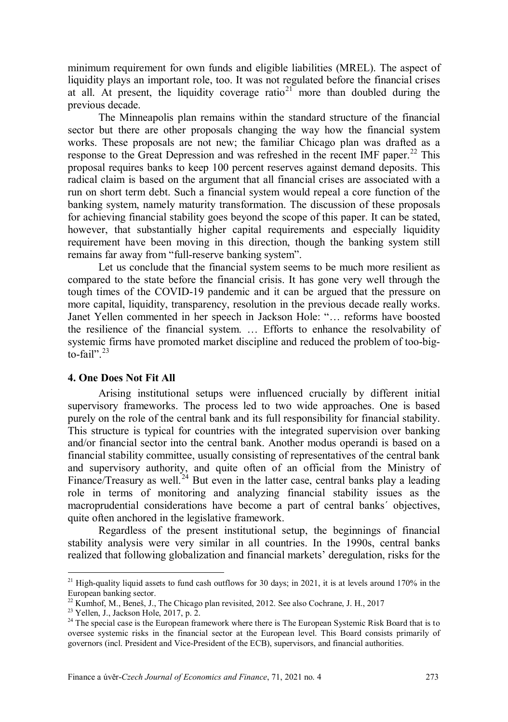minimum requirement for own funds and eligible liabilities (MREL). The aspect of liquidity plays an important role, too. It was not regulated before the financial crises at all. At present, the liquidity coverage ratio<sup>[21](#page-5-0)</sup> more than doubled during the previous decade.

The Minneapolis plan remains within the standard structure of the financial sector but there are other proposals changing the way how the financial system works. These proposals are not new; the familiar Chicago plan was drafted as a response to the Great Depression and was refreshed in the recent IMF paper.<sup>[22](#page-5-1)</sup> This proposal requires banks to keep 100 percent reserves against demand deposits. This radical claim is based on the argument that all financial crises are associated with a run on short term debt. Such a financial system would repeal a core function of the banking system, namely maturity transformation. The discussion of these proposals for achieving financial stability goes beyond the scope of this paper. It can be stated, however, that substantially higher capital requirements and especially liquidity requirement have been moving in this direction, though the banking system still remains far away from "full-reserve banking system".

Let us conclude that the financial system seems to be much more resilient as compared to the state before the financial crisis. It has gone very well through the tough times of the COVID-19 pandemic and it can be argued that the pressure on more capital, liquidity, transparency, resolution in the previous decade really works. Janet Yellen commented in her speech in Jackson Hole: "… reforms have boosted the resilience of the financial system. … Efforts to enhance the resolvability of systemic firms have promoted market discipline and reduced the problem of too-big- $\frac{1}{20}$  fail".<sup>[23](#page-5-2)</sup>

#### **4. One Does Not Fit All**

Arising institutional setups were influenced crucially by different initial supervisory frameworks. The process led to two wide approaches. One is based purely on the role of the central bank and its full responsibility for financial stability. This structure is typical for countries with the integrated supervision over banking and/or financial sector into the central bank. Another modus operandi is based on a financial stability committee, usually consisting of representatives of the central bank and supervisory authority, and quite often of an official from the Ministry of Finance/Treasury as well.<sup>[24](#page-5-3)</sup> But even in the latter case, central banks play a leading role in terms of monitoring and analyzing financial stability issues as the macroprudential considerations have become a part of central banks´ objectives, quite often anchored in the legislative framework.

Regardless of the present institutional setup, the beginnings of financial stability analysis were very similar in all countries. In the 1990s, central banks realized that following globalization and financial markets' deregulation, risks for the

<span id="page-5-0"></span><sup>&</sup>lt;sup>21</sup> High-quality liquid assets to fund cash outflows for 30 days; in 2021, it is at levels around 170% in the European banking sector.

<span id="page-5-1"></span> $^{22}$  Kumhof, M., Beneš, J., The Chicago plan revisited, 2012. See also Cochrane, J. H., 2017

<span id="page-5-2"></span> $23$  Yellen, J., Jackson Hole, 2017, p. 2.

<span id="page-5-3"></span><sup>&</sup>lt;sup>24</sup> The special case is the European framework where there is The European Systemic Risk Board that is to oversee systemic risks in the financial sector at the European level. This Board consists primarily of governors (incl. President and Vice-President of the ECB), supervisors, and financial authorities.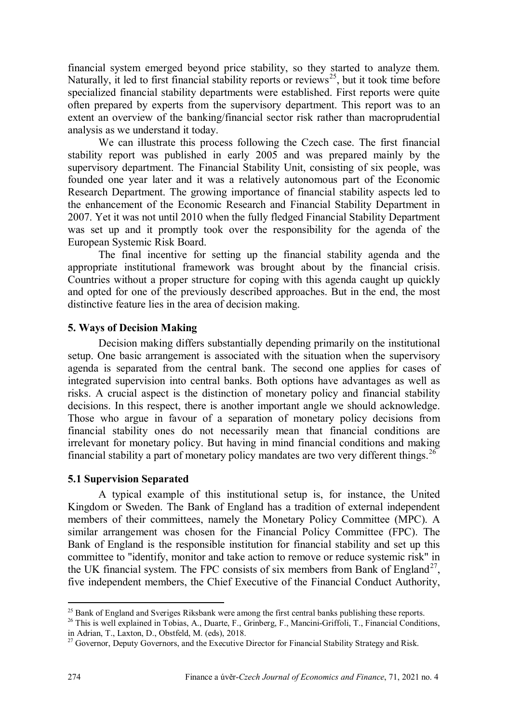financial system emerged beyond price stability, so they started to analyze them. Naturally, it led to first financial stability reports or reviews<sup>[25](#page-6-0)</sup>, but it took time before specialized financial stability departments were established. First reports were quite often prepared by experts from the supervisory department. This report was to an extent an overview of the banking/financial sector risk rather than macroprudential analysis as we understand it today.

We can illustrate this process following the Czech case. The first financial stability report was published in early 2005 and was prepared mainly by the supervisory department. The Financial Stability Unit, consisting of six people, was founded one year later and it was a relatively autonomous part of the Economic Research Department. The growing importance of financial stability aspects led to the enhancement of the Economic Research and Financial Stability Department in 2007. Yet it was not until 2010 when the fully fledged Financial Stability Department was set up and it promptly took over the responsibility for the agenda of the European Systemic Risk Board.

The final incentive for setting up the financial stability agenda and the appropriate institutional framework was brought about by the financial crisis. Countries without a proper structure for coping with this agenda caught up quickly and opted for one of the previously described approaches. But in the end, the most distinctive feature lies in the area of decision making.

## **5. Ways of Decision Making**

Decision making differs substantially depending primarily on the institutional setup. One basic arrangement is associated with the situation when the supervisory agenda is separated from the central bank. The second one applies for cases of integrated supervision into central banks. Both options have advantages as well as risks. A crucial aspect is the distinction of monetary policy and financial stability decisions. In this respect, there is another important angle we should acknowledge. Those who argue in favour of a separation of monetary policy decisions from financial stability ones do not necessarily mean that financial conditions are irrelevant for monetary policy. But having in mind financial conditions and making financial stability a part of monetary policy mandates are two very different things.<sup>[26](#page-6-1)</sup>

### **5.1 Supervision Separated**

A typical example of this institutional setup is, for instance, the United Kingdom or Sweden. The Bank of England has a tradition of external independent members of their committees, namely the Monetary Policy Committee (MPC). A similar arrangement was chosen for the Financial Policy Committee (FPC). The Bank of England is the responsible institution for financial stability and set up this committee to "identify, monitor and take action to remove or reduce systemic risk" in the UK financial system. The FPC consists of six members from Bank of England<sup>[27](#page-6-2)</sup>, five independent members, the Chief Executive of the Financial Conduct Authority,

<sup>&</sup>lt;sup>25</sup> Bank of England and Sveriges Riksbank were among the first central banks publishing these reports.

<span id="page-6-1"></span><span id="page-6-0"></span><sup>&</sup>lt;sup>26</sup> This is well explained in Tobias, A., Duarte, F., Grinberg, F., Mancini-Griffoli, T., Financial Conditions, in Adrian, T., Laxton, D., Obstfeld, M. (eds), 2018.

<span id="page-6-2"></span><sup>&</sup>lt;sup>27</sup> Governor, Deputy Governors, and the Executive Director for Financial Stability Strategy and Risk.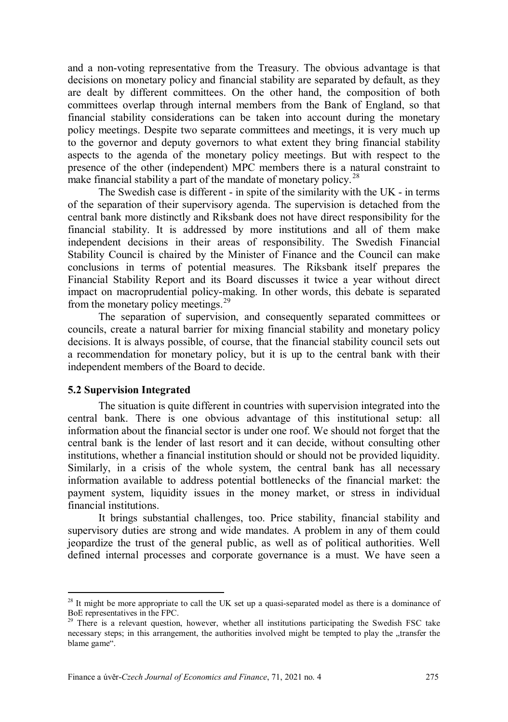and a non-voting representative from the Treasury. The obvious advantage is that decisions on monetary policy and financial stability are separated by default, as they are dealt by different committees. On the other hand, the composition of both committees overlap through internal members from the Bank of England, so that financial stability considerations can be taken into account during the monetary policy meetings. Despite two separate committees and meetings, it is very much up to the governor and deputy governors to what extent they bring financial stability aspects to the agenda of the monetary policy meetings. But with respect to the presence of the other (independent) MPC members there is a natural constraint to make financial stability a part of the mandate of monetary policy.<sup>[28](#page-7-0)</sup>

The Swedish case is different - in spite of the similarity with the UK - in terms of the separation of their supervisory agenda. The supervision is detached from the central bank more distinctly and Riksbank does not have direct responsibility for the financial stability. It is addressed by more institutions and all of them make independent decisions in their areas of responsibility. The Swedish Financial Stability Council is chaired by the Minister of Finance and the Council can make conclusions in terms of potential measures. The Riksbank itself prepares the Financial Stability Report and its Board discusses it twice a year without direct impact on macroprudential policy-making. In other words, this debate is separated from the monetary policy meetings.<sup>[29](#page-7-1)</sup>

The separation of supervision, and consequently separated committees or councils, create a natural barrier for mixing financial stability and monetary policy decisions. It is always possible, of course, that the financial stability council sets out a recommendation for monetary policy, but it is up to the central bank with their independent members of the Board to decide.

#### **5.2 Supervision Integrated**

 $\overline{a}$ 

The situation is quite different in countries with supervision integrated into the central bank. There is one obvious advantage of this institutional setup: all information about the financial sector is under one roof. We should not forget that the central bank is the lender of last resort and it can decide, without consulting other institutions, whether a financial institution should or should not be provided liquidity. Similarly, in a crisis of the whole system, the central bank has all necessary information available to address potential bottlenecks of the financial market: the payment system, liquidity issues in the money market, or stress in individual financial institutions.

It brings substantial challenges, too. Price stability, financial stability and supervisory duties are strong and wide mandates. A problem in any of them could jeopardize the trust of the general public, as well as of political authorities. Well defined internal processes and corporate governance is a must. We have seen a

<span id="page-7-0"></span> $2<sup>8</sup>$  It might be more appropriate to call the UK set up a quasi-separated model as there is a dominance of BoE representatives in the FPC.

<span id="page-7-1"></span><sup>&</sup>lt;sup>29</sup> There is a relevant question, however, whether all institutions participating the Swedish FSC take necessary steps; in this arrangement, the authorities involved might be tempted to play the "transfer the blame game".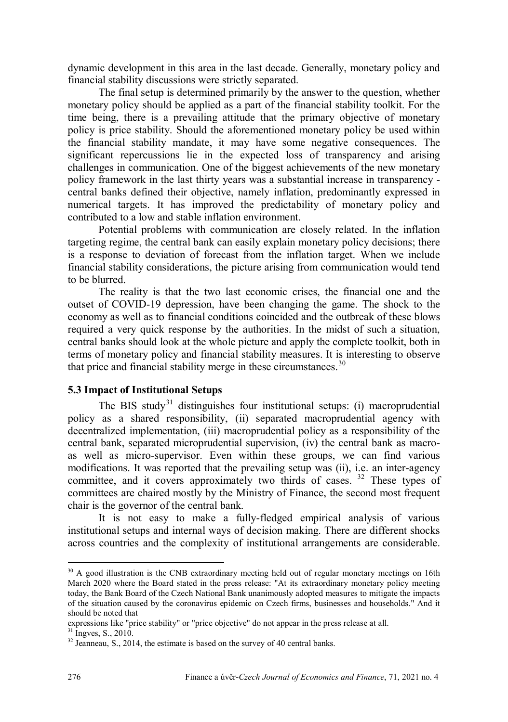dynamic development in this area in the last decade. Generally, monetary policy and financial stability discussions were strictly separated.

The final setup is determined primarily by the answer to the question, whether monetary policy should be applied as a part of the financial stability toolkit. For the time being, there is a prevailing attitude that the primary objective of monetary policy is price stability. Should the aforementioned monetary policy be used within the financial stability mandate, it may have some negative consequences. The significant repercussions lie in the expected loss of transparency and arising challenges in communication. One of the biggest achievements of the new monetary policy framework in the last thirty years was a substantial increase in transparency central banks defined their objective, namely inflation, predominantly expressed in numerical targets. It has improved the predictability of monetary policy and contributed to a low and stable inflation environment.

Potential problems with communication are closely related. In the inflation targeting regime, the central bank can easily explain monetary policy decisions; there is a response to deviation of forecast from the inflation target. When we include financial stability considerations, the picture arising from communication would tend to be blurred.

The reality is that the two last economic crises, the financial one and the outset of COVID-19 depression, have been changing the game. The shock to the economy as well as to financial conditions coincided and the outbreak of these blows required a very quick response by the authorities. In the midst of such a situation, central banks should look at the whole picture and apply the complete toolkit, both in terms of monetary policy and financial stability measures. It is interesting to observe that price and financial stability merge in these circumstances.<sup>[30](#page-8-0)</sup>

## **5.3 Impact of Institutional Setups**

The BIS study<sup>[31](#page-8-1)</sup> distinguishes four institutional setups: (i) macroprudential policy as a shared responsibility, (ii) separated macroprudential agency with decentralized implementation, (iii) macroprudential policy as a responsibility of the central bank, separated microprudential supervision, (iv) the central bank as macroas well as micro-supervisor. Even within these groups, we can find various modifications. It was reported that the prevailing setup was (ii), i.e. an inter-agency committee, and it covers approximately two thirds of cases. <sup>[32](#page-8-2)</sup> These types of committees are chaired mostly by the Ministry of Finance, the second most frequent chair is the governor of the central bank.

It is not easy to make a fully-fledged empirical analysis of various institutional setups and internal ways of decision making. There are different shocks across countries and the complexity of institutional arrangements are considerable.

<span id="page-8-0"></span> $30$  A good illustration is the CNB extraordinary meeting held out of regular monetary meetings on 16th March 2020 where the Board stated in the press release: "At its extraordinary monetary policy meeting today, the Bank Board of the Czech National Bank unanimously adopted measures to mitigate the impacts of the situation caused by the coronavirus epidemic on Czech firms, businesses and households." And it should be noted that

expressions like "price stability" or "price objective" do not appear in the press release at all.  $31$  Ingves, S., 2010.

<span id="page-8-2"></span><span id="page-8-1"></span> $32$  Jeanneau, S., 2014, the estimate is based on the survey of 40 central banks.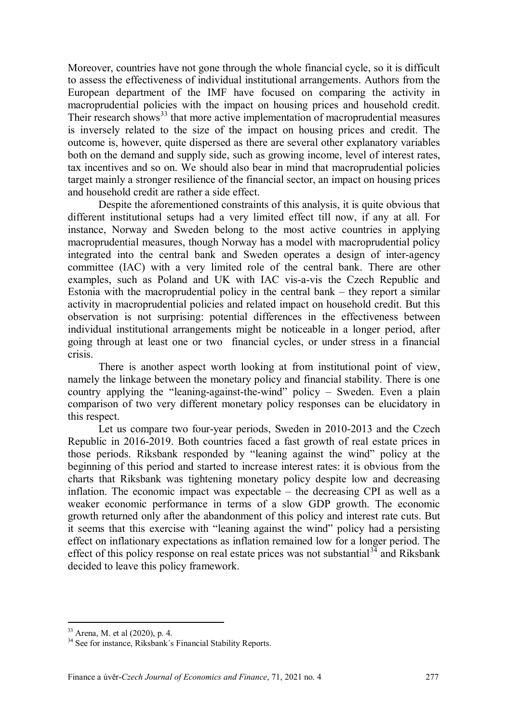Moreover, countries have not gone through the whole financial cycle, so it is difficult to assess the effectiveness of individual institutional arrangements. Authors from the European department of the IMF have focused on comparing the activity in macroprudential policies with the impact on housing prices and household credit. Their research shows<sup>[33](#page-9-0)</sup> that more active implementation of macroprudential measures is inversely related to the size of the impact on housing prices and credit. The outcome is, however, quite dispersed as there are several other explanatory variables both on the demand and supply side, such as growing income, level of interest rates, tax incentives and so on. We should also bear in mind that macroprudential policies target mainly a stronger resilience of the financial sector, an impact on housing prices and household credit are rather a side effect.

Despite the aforementioned constraints of this analysis, it is quite obvious that different institutional setups had a very limited effect till now, if any at all. For instance, Norway and Sweden belong to the most active countries in applying macroprudential measures, though Norway has a model with macroprudential policy integrated into the central bank and Sweden operates a design of inter-agency committee (IAC) with a very limited role of the central bank. There are other examples, such as Poland and UK with IAC vis-a-vis the Czech Republic and Estonia with the macroprudential policy in the central bank – they report a similar activity in macroprudential policies and related impact on household credit. But this observation is not surprising: potential differences in the effectiveness between individual institutional arrangements might be noticeable in a longer period, after going through at least one or two financial cycles, or under stress in a financial crisis.

There is another aspect worth looking at from institutional point of view, namely the linkage between the monetary policy and financial stability. There is one country applying the "leaning-against-the-wind" policy – Sweden. Even a plain comparison of two very different monetary policy responses can be elucidatory in this respect.

Let us compare two four-year periods, Sweden in 2010-2013 and the Czech Republic in 2016-2019. Both countries faced a fast growth of real estate prices in those periods. Riksbank responded by "leaning against the wind" policy at the beginning of this period and started to increase interest rates: it is obvious from the charts that Riksbank was tightening monetary policy despite low and decreasing inflation. The economic impact was expectable – the decreasing CPI as well as a weaker economic performance in terms of a slow GDP growth. The economic growth returned only after the abandonment of this policy and interest rate cuts. But it seems that this exercise with "leaning against the wind" policy had a persisting effect on inflationary expectations as inflation remained low for a longer period. The effect of this policy response on real estate prices was not substantial  $3\frac{3}{4}$  and Riksbank decided to leave this policy framework.

<span id="page-9-0"></span><sup>33</sup> Arena, M. et al (2020), p. 4.

<span id="page-9-1"></span><sup>&</sup>lt;sup>34</sup> See for instance, Riksbank's Financial Stability Reports.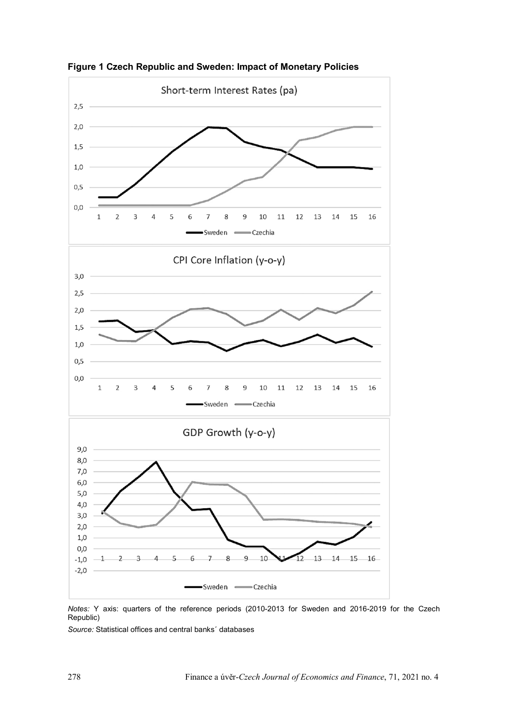

**Figure 1 Czech Republic and Sweden: Impact of Monetary Policies**

*Notes:* Y axis: quarters of the reference periods (2010-2013 for Sweden and 2016-2019 for the Czech Republic)

*Source:* Statistical offices and central banks´ databases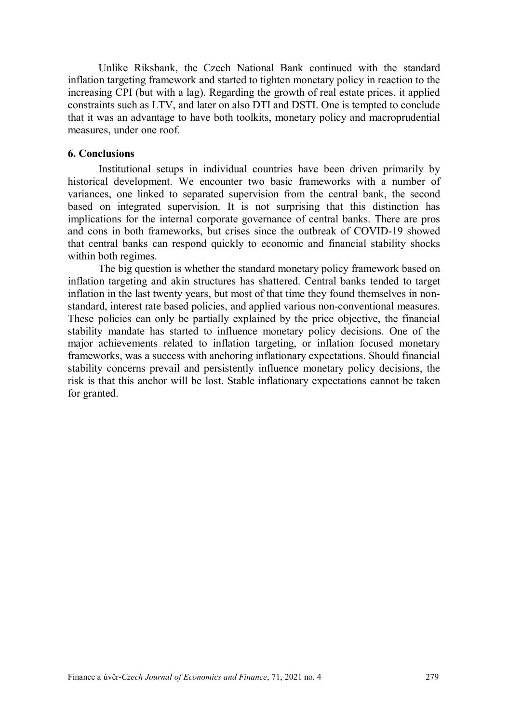Unlike Riksbank, the Czech National Bank continued with the standard inflation targeting framework and started to tighten monetary policy in reaction to the increasing CPI (but with a lag). Regarding the growth of real estate prices, it applied constraints such as LTV, and later on also DTI and DSTI. One is tempted to conclude that it was an advantage to have both toolkits, monetary policy and macroprudential measures, under one roof.

## **6. Conclusions**

Institutional setups in individual countries have been driven primarily by historical development. We encounter two basic frameworks with a number of variances, one linked to separated supervision from the central bank, the second based on integrated supervision. It is not surprising that this distinction has implications for the internal corporate governance of central banks. There are pros and cons in both frameworks, but crises since the outbreak of COVID-19 showed that central banks can respond quickly to economic and financial stability shocks within both regimes.

The big question is whether the standard monetary policy framework based on inflation targeting and akin structures has shattered. Central banks tended to target inflation in the last twenty years, but most of that time they found themselves in nonstandard, interest rate based policies, and applied various non-conventional measures. These policies can only be partially explained by the price objective, the financial stability mandate has started to influence monetary policy decisions. One of the major achievements related to inflation targeting, or inflation focused monetary frameworks, was a success with anchoring inflationary expectations. Should financial stability concerns prevail and persistently influence monetary policy decisions, the risk is that this anchor will be lost. Stable inflationary expectations cannot be taken for granted.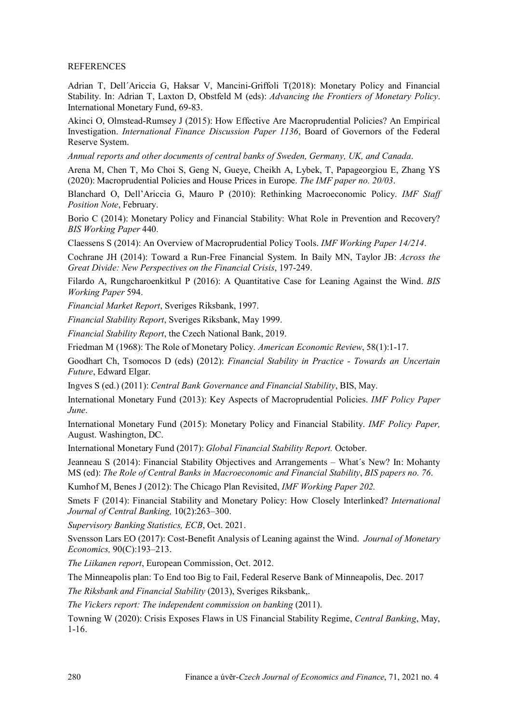#### **REFERENCES**

Adrian T, Dell´Ariccia G, Haksar V, Mancini-Griffoli T(2018): Monetary Policy and Financial Stability. In: Adrian T, Laxton D, Obstfeld M (eds): *Advancing the Frontiers of Monetary Policy*. International Monetary Fund, 69-83.

Akinci O, Olmstead-Rumsey J (2015): How Effective Are Macroprudential Policies? An Empirical Investigation. *International Finance Discussion Paper 1136*, Board of Governors of the Federal Reserve System.

*Annual reports and other documents of central banks of Sweden, Germany, UK, and Canada*.

Arena M, Chen T, Mo Choi S, Geng N, Gueye, Cheikh A, Lybek, T, Papageorgiou E, Zhang YS (2020): Macroprudential Policies and House Prices in Europe. *The IMF paper no. 20/03*.

Blanchard O, Dell'Ariccia G, Mauro P (2010): Rethinking Macroeconomic Policy. *IMF Staff Position Note*, February.

Borio C (2014): Monetary Policy and Financial Stability: What Role in Prevention and Recovery? *BIS Working Paper* 440.

Claessens S (2014): An Overview of Macroprudential Policy Tools. *IMF Working Paper 14/214*.

Cochrane JH (2014): Toward a Run-Free Financial System. In Baily MN, Taylor JB: *Across the Great Divide: New Perspectives on the Financial Crisis*, 197-249.

Filardo A, Rungcharoenkitkul P (2016): A Quantitative Case for Leaning Against the Wind. *BIS Working Paper* 594.

*Financial Market Report*, Sveriges Riksbank, 1997.

*Financial Stability Report*, Sveriges Riksbank, May 1999.

*Financial Stability Report*, the Czech National Bank, 2019.

Friedman M (1968): The Role of Monetary Policy. *American Economic Review*, 58(1):1-17.

Goodhart Ch, Tsomocos D (eds) (2012): *Financial Stability in Practice - Towards an Uncertain Future*, Edward Elgar.

Ingves S (ed.) (2011): *Central Bank Governance and Financial Stability*, BIS, May.

International Monetary Fund (2013): Key Aspects of Macroprudential Policies. *IMF Policy Paper June*.

International Monetary Fund (2015): Monetary Policy and Financial Stability. *IMF Policy Paper,* August. Washington, DC.

International Monetary Fund (2017): *Global Financial Stability Report.* October.

Jeanneau S (2014): Financial Stability Objectives and Arrangements – What´s New? In: Mohanty MS (ed): *The Role of Central Banks in Macroeconomic and Financial Stability*, *BIS papers no. 76*.

Kumhof M, Benes J (2012): The Chicago Plan Revisited, *IMF Working Paper 202.*

Smets F (2014): Financial Stability and Monetary Policy: How Closely Interlinked? *International Journal of Central Banking,* 10(2):263–300.

*Supervisory Banking Statistics, ECB*, Oct. 2021.

Svensson Lars EO (2017): Cost-Benefit Analysis of Leaning against the Wind. *Journal of Monetary Economics,* 90(C):193–213.

*The Liikanen report*, European Commission, Oct. 2012.

The Minneapolis plan: To End too Big to Fail, Federal Reserve Bank of Minneapolis, Dec. 2017

*The Riksbank and Financial Stability* (2013), Sveriges Riksbank,.

*The Vickers report: The independent commission on banking* (2011).

Towning W (2020): Crisis Exposes Flaws in US Financial Stability Regime, *Central Banking*, May, 1-16.